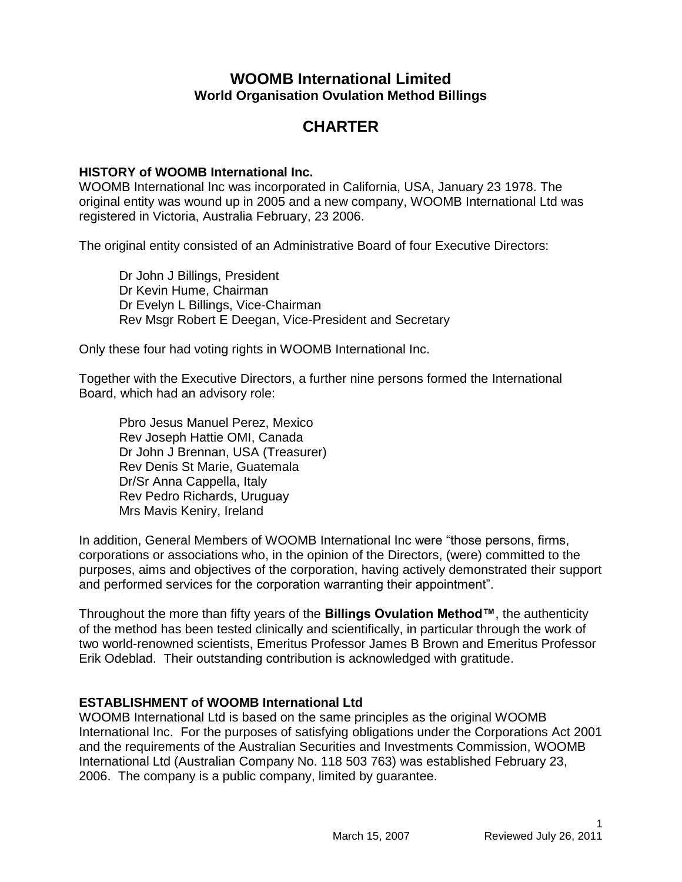## **WOOMB International Limited World Organisation Ovulation Method Billings**

# **CHARTER**

## **HISTORY of WOOMB International Inc.**

WOOMB International Inc was incorporated in California, USA, January 23 1978. The original entity was wound up in 2005 and a new company, WOOMB International Ltd was registered in Victoria, Australia February, 23 2006.

The original entity consisted of an Administrative Board of four Executive Directors:

Dr John J Billings, President Dr Kevin Hume, Chairman Dr Evelyn L Billings, Vice-Chairman Rev Msgr Robert E Deegan, Vice-President and Secretary

Only these four had voting rights in WOOMB International Inc.

Together with the Executive Directors, a further nine persons formed the International Board, which had an advisory role:

Pbro Jesus Manuel Perez, Mexico Rev Joseph Hattie OMI, Canada Dr John J Brennan, USA (Treasurer) Rev Denis St Marie, Guatemala Dr/Sr Anna Cappella, Italy Rev Pedro Richards, Uruguay Mrs Mavis Keniry, Ireland

In addition, General Members of WOOMB International Inc were "those persons, firms, corporations or associations who, in the opinion of the Directors, (were) committed to the purposes, aims and objectives of the corporation, having actively demonstrated their support and performed services for the corporation warranting their appointment".

Throughout the more than fifty years of the **Billings Ovulation Method™**, the authenticity of the method has been tested clinically and scientifically, in particular through the work of two world-renowned scientists, Emeritus Professor James B Brown and Emeritus Professor Erik Odeblad. Their outstanding contribution is acknowledged with gratitude.

## **ESTABLISHMENT of WOOMB International Ltd**

WOOMB International Ltd is based on the same principles as the original WOOMB International Inc. For the purposes of satisfying obligations under the Corporations Act 2001 and the requirements of the Australian Securities and Investments Commission, WOOMB International Ltd (Australian Company No. 118 503 763) was established February 23, 2006. The company is a public company, limited by guarantee.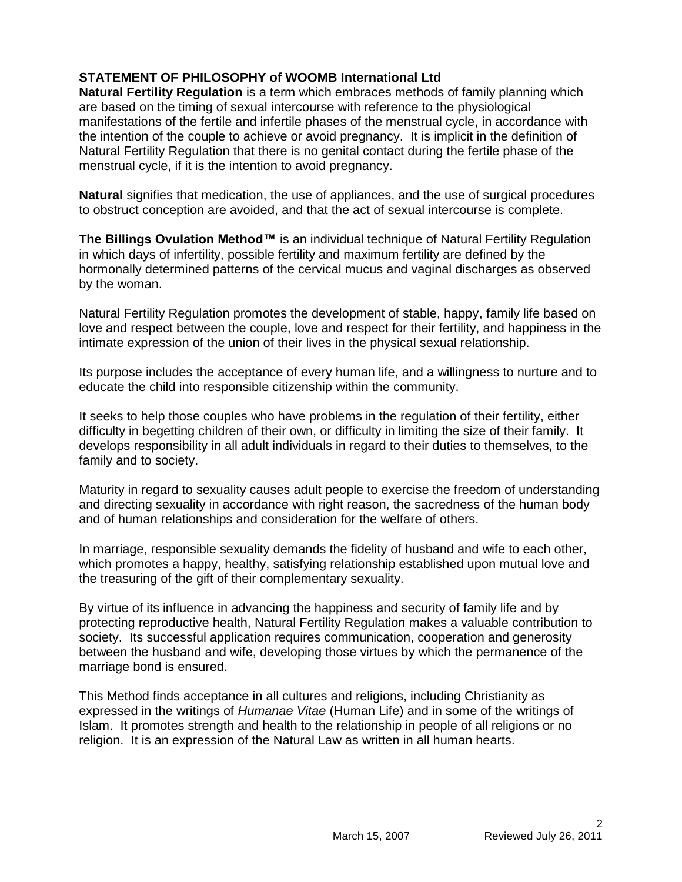## **STATEMENT OF PHILOSOPHY of WOOMB International Ltd**

**Natural Fertility Regulation** is a term which embraces methods of family planning which are based on the timing of sexual intercourse with reference to the physiological manifestations of the fertile and infertile phases of the menstrual cycle, in accordance with the intention of the couple to achieve or avoid pregnancy. It is implicit in the definition of Natural Fertility Regulation that there is no genital contact during the fertile phase of the menstrual cycle, if it is the intention to avoid pregnancy.

**Natural** signifies that medication, the use of appliances, and the use of surgical procedures to obstruct conception are avoided, and that the act of sexual intercourse is complete.

**The Billings Ovulation Method™** is an individual technique of Natural Fertility Regulation in which days of infertility, possible fertility and maximum fertility are defined by the hormonally determined patterns of the cervical mucus and vaginal discharges as observed by the woman.

Natural Fertility Regulation promotes the development of stable, happy, family life based on love and respect between the couple, love and respect for their fertility, and happiness in the intimate expression of the union of their lives in the physical sexual relationship.

Its purpose includes the acceptance of every human life, and a willingness to nurture and to educate the child into responsible citizenship within the community.

It seeks to help those couples who have problems in the regulation of their fertility, either difficulty in begetting children of their own, or difficulty in limiting the size of their family. It develops responsibility in all adult individuals in regard to their duties to themselves, to the family and to society.

Maturity in regard to sexuality causes adult people to exercise the freedom of understanding and directing sexuality in accordance with right reason, the sacredness of the human body and of human relationships and consideration for the welfare of others.

In marriage, responsible sexuality demands the fidelity of husband and wife to each other, which promotes a happy, healthy, satisfying relationship established upon mutual love and the treasuring of the gift of their complementary sexuality.

By virtue of its influence in advancing the happiness and security of family life and by protecting reproductive health, Natural Fertility Regulation makes a valuable contribution to society. Its successful application requires communication, cooperation and generosity between the husband and wife, developing those virtues by which the permanence of the marriage bond is ensured.

This Method finds acceptance in all cultures and religions, including Christianity as expressed in the writings of *Humanae Vitae* (Human Life) and in some of the writings of Islam. It promotes strength and health to the relationship in people of all religions or no religion. It is an expression of the Natural Law as written in all human hearts.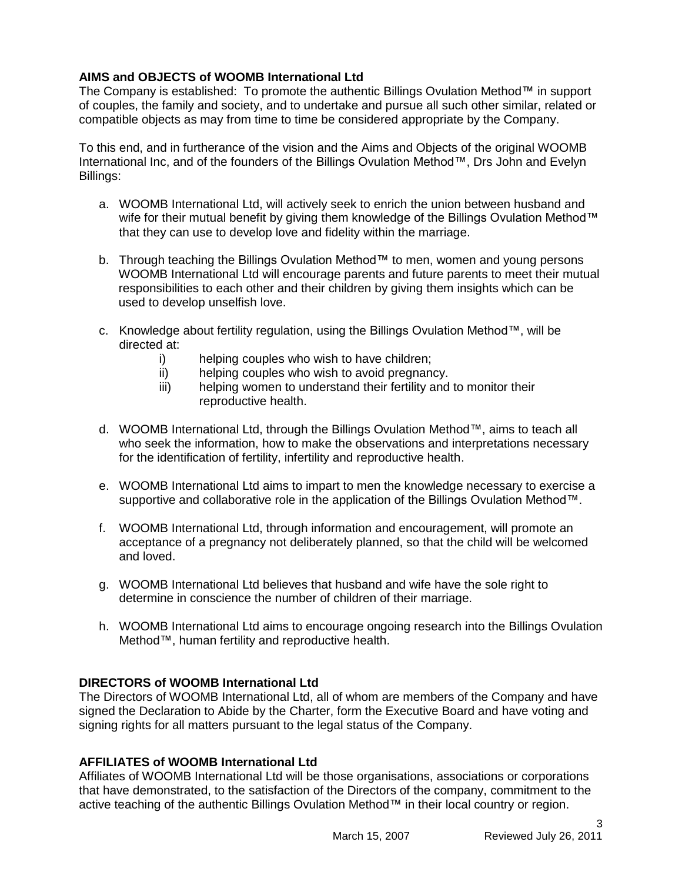## **AIMS and OBJECTS of WOOMB International Ltd**

The Company is established: To promote the authentic Billings Ovulation Method™ in support of couples, the family and society, and to undertake and pursue all such other similar, related or compatible objects as may from time to time be considered appropriate by the Company.

To this end, and in furtherance of the vision and the Aims and Objects of the original WOOMB International Inc, and of the founders of the Billings Ovulation Method™, Drs John and Evelyn Billings:

- a. WOOMB International Ltd, will actively seek to enrich the union between husband and wife for their mutual benefit by giving them knowledge of the Billings Ovulation Method™ that they can use to develop love and fidelity within the marriage.
- b. Through teaching the Billings Ovulation Method™ to men, women and young persons WOOMB International Ltd will encourage parents and future parents to meet their mutual responsibilities to each other and their children by giving them insights which can be used to develop unselfish love.
- c. Knowledge about fertility regulation, using the Billings Ovulation Method™, will be directed at:
	- i) helping couples who wish to have children;
	- ii) helping couples who wish to avoid pregnancy.
	- iii) helping women to understand their fertility and to monitor their reproductive health.
- d. WOOMB International Ltd, through the Billings Ovulation Method™, aims to teach all who seek the information, how to make the observations and interpretations necessary for the identification of fertility, infertility and reproductive health.
- e. WOOMB International Ltd aims to impart to men the knowledge necessary to exercise a supportive and collaborative role in the application of the Billings Ovulation Method™.
- f. WOOMB International Ltd, through information and encouragement, will promote an acceptance of a pregnancy not deliberately planned, so that the child will be welcomed and loved.
- g. WOOMB International Ltd believes that husband and wife have the sole right to determine in conscience the number of children of their marriage.
- h. WOOMB International Ltd aims to encourage ongoing research into the Billings Ovulation Method™, human fertility and reproductive health.

#### **DIRECTORS of WOOMB International Ltd**

The Directors of WOOMB International Ltd, all of whom are members of the Company and have signed the Declaration to Abide by the Charter, form the Executive Board and have voting and signing rights for all matters pursuant to the legal status of the Company.

#### **AFFILIATES of WOOMB International Ltd**

Affiliates of WOOMB International Ltd will be those organisations, associations or corporations that have demonstrated, to the satisfaction of the Directors of the company, commitment to the active teaching of the authentic Billings Ovulation Method™ in their local country or region.